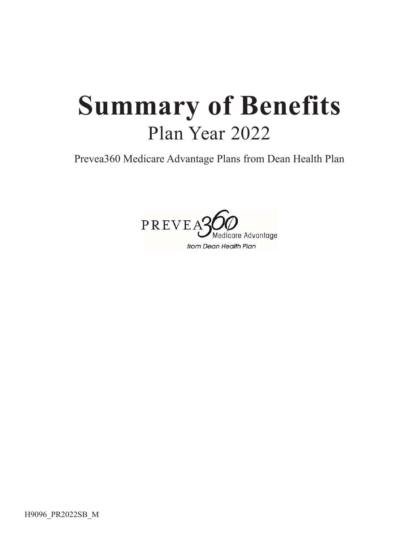# **Summary of Benefits** Plan Year 2022

Prevea360 Medicare Advantage Plans from Dean Health Plan

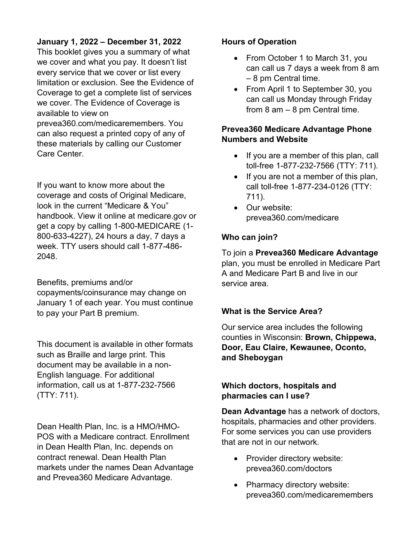#### **January 1, 2022 – December 31, 2022**

This booklet gives you a summary of what we cover and what you pay. It doesn't list every service that we cover or list every limitation or exclusion. See the Evidence of Coverage to get a complete list of services we cover. The Evidence of Coverage is available to view on

prevea360.com/medicaremembers. You can also request a printed copy of any of these materials by calling our Customer Care Center.

If you want to know more about the coverage and costs of Original Medicare, look in the current "Medicare & You" handbook. View it online at medicare.gov or get a copy by calling 1-800-MEDICARE (1- 800-633-4227), 24 hours a day, 7 days a week. TTY users should call 1-877-486- 2048.

Benefits, premiums and/or copayments/coinsurance may change on January 1 of each year. You must continue to pay your Part B premium.

This document is available in other formats such as Braille and large print. This document may be available in a non-English language. For additional information, call us at 1-877-232-7566 (TTY: 711).

Dean Health Plan, Inc. is a HMO/HMO-POS with a Medicare contract. Enrollment in Dean Health Plan, Inc. depends on contract renewal. Dean Health Plan markets under the names Dean Advantage and Prevea360 Medicare Advantage.

#### **Hours of Operation**

- From October 1 to March 31, you can call us 7 days a week from 8 am – 8 pm Central time.
- From April 1 to September 30, you can call us Monday through Friday from 8 am – 8 pm Central time.

#### **Prevea360 Medicare Advantage Phone Numbers and Website**

- If you are a member of this plan, call toll-free 1-877-232-7566 (TTY: 711).
- If you are not a member of this plan, call toll-free 1-877-234-0126 (TTY: 711).
- Our website: prevea360.com/medicare

#### **Who can join?**

To join a **Prevea360 Medicare Advantage** plan, you must be enrolled in Medicare Part A and Medicare Part B and live in our service area.

#### **What is the Service Area?**

Our service area includes the following counties in Wisconsin: **Brown, Chippewa, Door, Eau Claire, Kewaunee, Oconto, and Sheboygan**

#### **Which doctors, hospitals and pharmacies can I use?**

**Dean Advantage** has a network of doctors, hospitals, pharmacies and other providers. For some services you can use providers that are not in our network.

- Provider directory website: prevea360.com/doctors
- Pharmacy directory website: prevea360.com/medicaremembers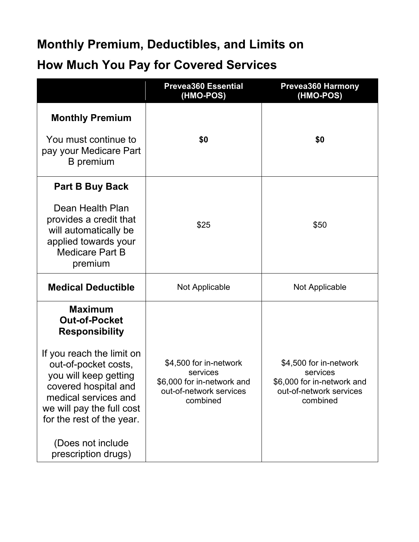### **Monthly Premium, Deductibles, and Limits on**

### **How Much You Pay for Covered Services**

|                                                                                                                                                                                                                                                                                                     | <b>Prevea360 Essential</b><br>(HMO-POS)                                                                 | <b>Prevea360 Harmony</b><br>(HMO-POS)                                                                   |  |
|-----------------------------------------------------------------------------------------------------------------------------------------------------------------------------------------------------------------------------------------------------------------------------------------------------|---------------------------------------------------------------------------------------------------------|---------------------------------------------------------------------------------------------------------|--|
| <b>Monthly Premium</b><br>You must continue to<br>pay your Medicare Part<br>B premium                                                                                                                                                                                                               | \$0                                                                                                     | \$0                                                                                                     |  |
| <b>Part B Buy Back</b><br>Dean Health Plan<br>provides a credit that<br>will automatically be<br>applied towards your<br><b>Medicare Part B</b><br>premium                                                                                                                                          | \$25                                                                                                    | \$50                                                                                                    |  |
| <b>Medical Deductible</b>                                                                                                                                                                                                                                                                           | Not Applicable                                                                                          | Not Applicable                                                                                          |  |
| <b>Maximum</b><br><b>Out-of-Pocket</b><br><b>Responsibility</b><br>If you reach the limit on<br>out-of-pocket costs,<br>you will keep getting<br>covered hospital and<br>medical services and<br>we will pay the full cost<br>for the rest of the year.<br>(Does not include<br>prescription drugs) | \$4,500 for in-network<br>services<br>\$6,000 for in-network and<br>out-of-network services<br>combined | \$4,500 for in-network<br>services<br>\$6,000 for in-network and<br>out-of-network services<br>combined |  |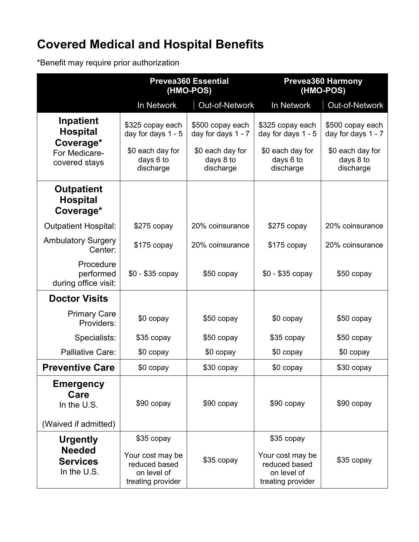## **Covered Medical and Hospital Benefits**

\*Benefit may require prior authorization

|                                                                 | <b>Prevea360 Essential</b><br>(HMO-POS)                               |                                            |                                                                       | <b>Prevea360 Harmony</b><br>(HMO-POS)      |  |
|-----------------------------------------------------------------|-----------------------------------------------------------------------|--------------------------------------------|-----------------------------------------------------------------------|--------------------------------------------|--|
|                                                                 | In Network                                                            | Out-of-Network                             | In Network                                                            | Out-of-Network                             |  |
| Inpatient<br><b>Hospital</b><br>Coverage*                       | \$325 copay each<br>day for days 1 - 5                                | \$500 copay each<br>day for days 1 - 7     | \$325 copay each<br>day for days 1 - 5                                | \$500 copay each<br>day for days 1 - 7     |  |
| For Medicare-<br>covered stays                                  | \$0 each day for<br>days 6 to<br>discharge                            | \$0 each day for<br>days 8 to<br>discharge | \$0 each day for<br>days 6 to<br>discharge                            | \$0 each day for<br>days 8 to<br>discharge |  |
| <b>Outpatient</b><br><b>Hospital</b><br>Coverage*               |                                                                       |                                            |                                                                       |                                            |  |
| <b>Outpatient Hospital:</b>                                     | \$275 copay                                                           | 20% coinsurance                            | $$275$ copay                                                          | 20% coinsurance                            |  |
| <b>Ambulatory Surgery</b><br>Center:                            | \$175 copay                                                           | 20% coinsurance                            | \$175 copay                                                           | 20% coinsurance                            |  |
| Procedure<br>performed<br>during office visit:                  | $$0 - $35$ copay                                                      | \$50 copay                                 | $$0 - $35$ copay                                                      | \$50 copay                                 |  |
| <b>Doctor Visits</b>                                            |                                                                       |                                            |                                                                       |                                            |  |
| <b>Primary Care</b><br>Providers:                               | \$0 copay                                                             | \$50 copay                                 | \$0 copay                                                             | $$50$ copay                                |  |
| Specialists:                                                    | \$35 copay                                                            | \$50 copay                                 | \$35 copay                                                            | \$50 copay                                 |  |
| <b>Palliative Care:</b>                                         | \$0 copay                                                             | \$0 copay                                  | \$0 copay                                                             | \$0 copay                                  |  |
| <b>Preventive Care</b>                                          | \$0 copay                                                             | \$30 copay                                 | \$0 copay                                                             | \$30 copay                                 |  |
| <b>Emergency</b><br>Care<br>In the U.S.<br>(Waived if admitted) | \$90 copay                                                            | \$90 copay                                 | $$90$ copay                                                           | \$90 copay                                 |  |
| <b>Urgently</b>                                                 | \$35 copay                                                            |                                            | \$35 copay                                                            |                                            |  |
| <b>Needed</b><br><b>Services</b><br>In the U.S.                 | Your cost may be<br>reduced based<br>on level of<br>treating provider | \$35 copay                                 | Your cost may be<br>reduced based<br>on level of<br>treating provider | \$35 copay                                 |  |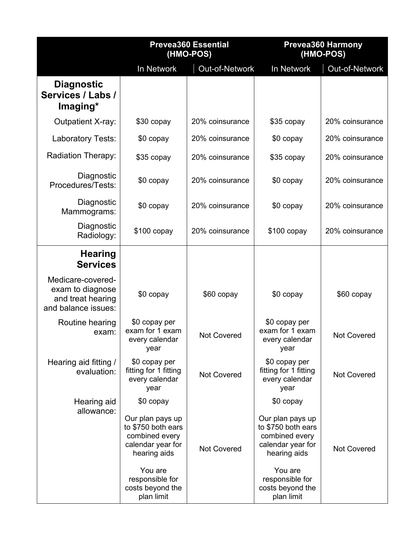|                                                                                   | <b>Prevea360 Essential</b><br>(HMO-POS)                                                       |                       |                                                                                               | <b>Prevea360 Harmony</b><br>(HMO-POS) |
|-----------------------------------------------------------------------------------|-----------------------------------------------------------------------------------------------|-----------------------|-----------------------------------------------------------------------------------------------|---------------------------------------|
|                                                                                   | In Network                                                                                    | <b>Out-of-Network</b> | In Network                                                                                    | Out-of-Network                        |
| <b>Diagnostic</b><br>Services / Labs /<br>Imaging*                                |                                                                                               |                       |                                                                                               |                                       |
| <b>Outpatient X-ray:</b>                                                          | \$30 copay                                                                                    | 20% coinsurance       | \$35 copay                                                                                    | 20% coinsurance                       |
| Laboratory Tests:                                                                 | \$0 copay                                                                                     | 20% coinsurance       | \$0 copay                                                                                     | 20% coinsurance                       |
| <b>Radiation Therapy:</b>                                                         | \$35 copay                                                                                    | 20% coinsurance       | \$35 copay                                                                                    | 20% coinsurance                       |
| Diagnostic<br>Procedures/Tests:                                                   | \$0 copay                                                                                     | 20% coinsurance       | \$0 copay                                                                                     | 20% coinsurance                       |
| Diagnostic<br>Mammograms:                                                         | \$0 copay                                                                                     | 20% coinsurance       | \$0 copay                                                                                     | 20% coinsurance                       |
| Diagnostic<br>Radiology:                                                          | \$100 copay                                                                                   | 20% coinsurance       | $$100$ copay                                                                                  | 20% coinsurance                       |
| <b>Hearing</b><br><b>Services</b>                                                 |                                                                                               |                       |                                                                                               |                                       |
| Medicare-covered-<br>exam to diagnose<br>and treat hearing<br>and balance issues: | \$0 copay                                                                                     | \$60 copay            | \$0 copay                                                                                     | \$60 copay                            |
| Routine hearing<br>exam:                                                          | \$0 copay per<br>exam for 1 exam<br>every calendar<br>year                                    | <b>Not Covered</b>    | \$0 copay per<br>exam for 1 exam<br>every calendar<br>year                                    | <b>Not Covered</b>                    |
| Hearing aid fitting /<br>evaluation:                                              | \$0 copay per<br>fitting for 1 fitting<br>every calendar<br>year                              | <b>Not Covered</b>    | \$0 copay per<br>fitting for 1 fitting<br>every calendar<br>year                              | <b>Not Covered</b>                    |
| Hearing aid                                                                       | \$0 copay                                                                                     |                       | \$0 copay                                                                                     |                                       |
| allowance:                                                                        | Our plan pays up<br>to \$750 both ears<br>combined every<br>calendar year for<br>hearing aids | <b>Not Covered</b>    | Our plan pays up<br>to \$750 both ears<br>combined every<br>calendar year for<br>hearing aids | <b>Not Covered</b>                    |
|                                                                                   | You are<br>responsible for<br>costs beyond the<br>plan limit                                  |                       | You are<br>responsible for<br>costs beyond the<br>plan limit                                  |                                       |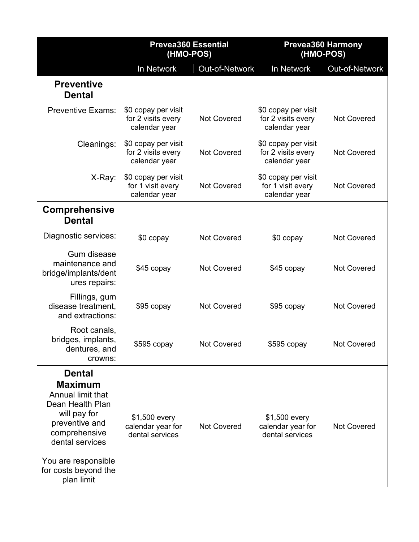|                                                                                                                                                                                                             | <b>Prevea360 Essential</b><br>(HMO-POS)                    |                    | <b>Prevea360 Harmony</b><br>(HMO-POS)                      |                       |
|-------------------------------------------------------------------------------------------------------------------------------------------------------------------------------------------------------------|------------------------------------------------------------|--------------------|------------------------------------------------------------|-----------------------|
|                                                                                                                                                                                                             | In Network                                                 | Out-of-Network     | In Network                                                 | <b>Out-of-Network</b> |
| <b>Preventive</b><br><b>Dental</b>                                                                                                                                                                          |                                                            |                    |                                                            |                       |
| <b>Preventive Exams:</b>                                                                                                                                                                                    | \$0 copay per visit<br>for 2 visits every<br>calendar year | <b>Not Covered</b> | \$0 copay per visit<br>for 2 visits every<br>calendar year | <b>Not Covered</b>    |
| Cleanings:                                                                                                                                                                                                  | \$0 copay per visit<br>for 2 visits every<br>calendar year | <b>Not Covered</b> | \$0 copay per visit<br>for 2 visits every<br>calendar year | <b>Not Covered</b>    |
| X-Ray:                                                                                                                                                                                                      | \$0 copay per visit<br>for 1 visit every<br>calendar year  | <b>Not Covered</b> | \$0 copay per visit<br>for 1 visit every<br>calendar year  | <b>Not Covered</b>    |
| <b>Comprehensive</b><br><b>Dental</b>                                                                                                                                                                       |                                                            |                    |                                                            |                       |
| Diagnostic services:                                                                                                                                                                                        | \$0 copay                                                  | <b>Not Covered</b> | \$0 copay                                                  | <b>Not Covered</b>    |
| Gum disease<br>maintenance and<br>bridge/implants/dent<br>ures repairs:                                                                                                                                     | \$45 copay                                                 | <b>Not Covered</b> | \$45 copay                                                 | <b>Not Covered</b>    |
| Fillings, gum<br>disease treatment,<br>and extractions:                                                                                                                                                     | \$95 copay                                                 | <b>Not Covered</b> | \$95 copay                                                 | <b>Not Covered</b>    |
| Root canals,<br>bridges, implants,<br>dentures, and<br>crowns:                                                                                                                                              | $$595$ copay                                               | <b>Not Covered</b> | \$595 copay                                                | Not Covered           |
| <b>Dental</b><br><b>Maximum</b><br>Annual limit that<br>Dean Health Plan<br>will pay for<br>preventive and<br>comprehensive<br>dental services<br>You are responsible<br>for costs beyond the<br>plan limit | \$1,500 every<br>calendar year for<br>dental services      | <b>Not Covered</b> | \$1,500 every<br>calendar year for<br>dental services      | <b>Not Covered</b>    |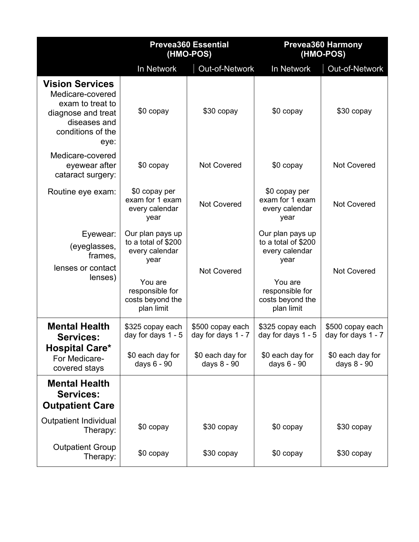|                                                                                                                                   | <b>Prevea360 Essential</b><br>(HMO-POS)<br>In Network<br><b>Out-of-Network</b> |                                        | <b>Prevea360 Harmony</b><br>(HMO-POS)                             |                                        |
|-----------------------------------------------------------------------------------------------------------------------------------|--------------------------------------------------------------------------------|----------------------------------------|-------------------------------------------------------------------|----------------------------------------|
|                                                                                                                                   |                                                                                |                                        | In Network                                                        | <b>Out-of-Network</b>                  |
| <b>Vision Services</b><br>Medicare-covered<br>exam to treat to<br>diagnose and treat<br>diseases and<br>conditions of the<br>eye: | \$0 copay                                                                      | \$30 copay                             | \$0 copay                                                         | \$30 copay                             |
| Medicare-covered<br>eyewear after<br>cataract surgery:                                                                            | \$0 copay                                                                      | <b>Not Covered</b>                     | \$0 copay                                                         | <b>Not Covered</b>                     |
| Routine eye exam:                                                                                                                 | \$0 copay per<br>exam for 1 exam<br>every calendar<br>year                     | <b>Not Covered</b>                     | \$0 copay per<br>exam for 1 exam<br>every calendar<br>year        | <b>Not Covered</b>                     |
| Eyewear:<br>(eyeglasses,<br>frames.<br>lenses or contact                                                                          | Our plan pays up<br>to a total of \$200<br>every calendar<br>year              | <b>Not Covered</b>                     | Our plan pays up<br>to a total of \$200<br>every calendar<br>year | <b>Not Covered</b>                     |
| lenses)                                                                                                                           | You are<br>responsible for<br>costs beyond the<br>plan limit                   |                                        | You are<br>responsible for<br>costs beyond the<br>plan limit      |                                        |
| <b>Mental Health</b><br><b>Services:</b>                                                                                          | \$325 copay each<br>day for days 1 - 5                                         | \$500 copay each<br>day for days 1 - 7 | \$325 copay each<br>day for days 1 - 5                            | \$500 copay each<br>day for days 1 - 7 |
| <b>Hospital Care*</b><br>For Medicare-<br>covered stays                                                                           | \$0 each day for<br>days 6 - 90                                                | \$0 each day for<br>days 8 - 90        | \$0 each day for<br>days 6 - 90                                   | \$0 each day for<br>days 8 - 90        |
| <b>Mental Health</b><br><b>Services:</b><br><b>Outpatient Care</b>                                                                |                                                                                |                                        |                                                                   |                                        |
| <b>Outpatient Individual</b><br>Therapy:                                                                                          | \$0 copay                                                                      | \$30 copay                             | \$0 copay                                                         | \$30 copay                             |
| <b>Outpatient Group</b><br>Therapy:                                                                                               | \$0 copay                                                                      | \$30 copay                             | \$0 copay                                                         | \$30 copay                             |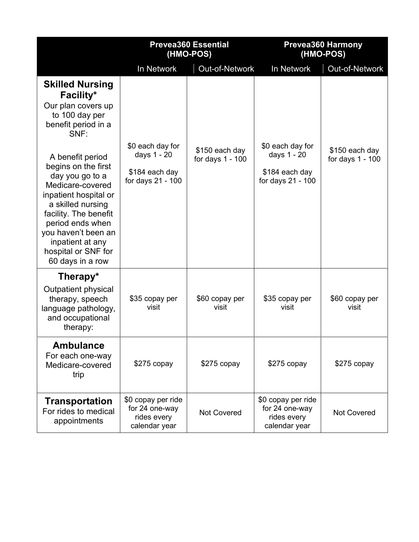|                                                                                                                                                                                                                                                                 | <b>Prevea360 Essential</b><br>(HMO-POS)                                |                                    |                                                                        | <b>Prevea360 Harmony</b><br>(HMO-POS) |
|-----------------------------------------------------------------------------------------------------------------------------------------------------------------------------------------------------------------------------------------------------------------|------------------------------------------------------------------------|------------------------------------|------------------------------------------------------------------------|---------------------------------------|
|                                                                                                                                                                                                                                                                 | In Network                                                             | Out-of-Network                     | In Network                                                             | Out-of-Network                        |
| <b>Skilled Nursing</b><br>Facility*<br>Our plan covers up<br>to 100 day per<br>benefit period in a<br>SNF:                                                                                                                                                      |                                                                        |                                    |                                                                        |                                       |
| A benefit period<br>begins on the first<br>day you go to a<br>Medicare-covered<br>inpatient hospital or<br>a skilled nursing<br>facility. The benefit<br>period ends when<br>you haven't been an<br>inpatient at any<br>hospital or SNF for<br>60 days in a row | \$0 each day for<br>days 1 - 20<br>\$184 each day<br>for days 21 - 100 | \$150 each day<br>for days 1 - 100 | \$0 each day for<br>days 1 - 20<br>\$184 each day<br>for days 21 - 100 | \$150 each day<br>for days 1 - 100    |
| Therapy*<br>Outpatient physical<br>therapy, speech<br>language pathology,<br>and occupational<br>therapy:                                                                                                                                                       | \$35 copay per<br>visit                                                | \$60 copay per<br>visit            | \$35 copay per<br>visit                                                | \$60 copay per<br>visit               |
| <b>Ambulance</b><br>For each one-way<br>Medicare-covered<br>trip                                                                                                                                                                                                | $$275$ copay                                                           | $$275$ copay                       | $$275$ copay                                                           | $$275$ copay                          |
| <b>Transportation</b><br>For rides to medical<br>appointments                                                                                                                                                                                                   | \$0 copay per ride<br>for 24 one-way<br>rides every<br>calendar year   | <b>Not Covered</b>                 | \$0 copay per ride<br>for 24 one-way<br>rides every<br>calendar year   | <b>Not Covered</b>                    |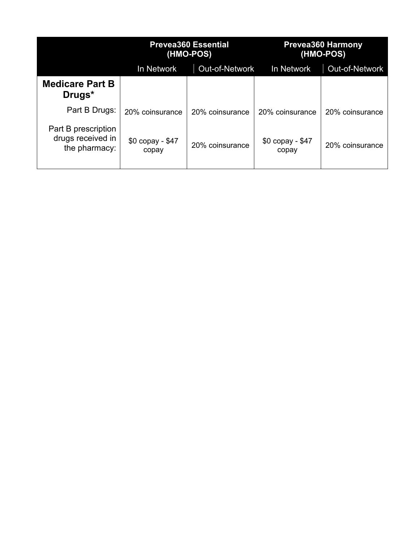|                                                           | <b>Prevea360 Essential</b><br>(HMO-POS)<br><b>Out-of-Network</b><br>In Network |                 | <b>Prevea360 Harmony</b><br>(HMO-POS) |                       |
|-----------------------------------------------------------|--------------------------------------------------------------------------------|-----------------|---------------------------------------|-----------------------|
|                                                           |                                                                                |                 | In Network                            | <b>Out-of-Network</b> |
| <b>Medicare Part B</b><br>Drugs <sup>*</sup>              |                                                                                |                 |                                       |                       |
| Part B Drugs:                                             | 20% coinsurance                                                                | 20% coinsurance | 20% coinsurance                       | 20% coinsurance       |
| Part B prescription<br>drugs received in<br>the pharmacy: | \$0 copay - \$47<br>copay                                                      | 20% coinsurance | \$0 copay - \$47<br>copay             | 20% coinsurance       |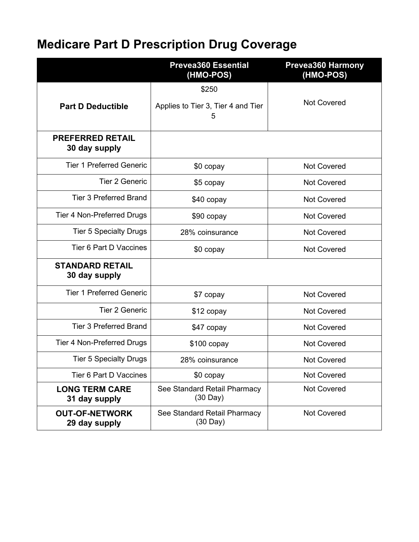# **Medicare Part D Prescription Drug Coverage**

|                                          | <b>Prevea360 Essential</b><br>(HMO-POS)                                  | <b>Prevea360 Harmony</b><br>(HMO-POS) |
|------------------------------------------|--------------------------------------------------------------------------|---------------------------------------|
|                                          | \$250                                                                    |                                       |
| <b>Part D Deductible</b>                 | Applies to Tier 3, Tier 4 and Tier<br>5                                  | <b>Not Covered</b>                    |
| <b>PREFERRED RETAIL</b><br>30 day supply |                                                                          |                                       |
| <b>Tier 1 Preferred Generic</b>          | \$0 copay                                                                | <b>Not Covered</b>                    |
| <b>Tier 2 Generic</b>                    | \$5 copay                                                                | <b>Not Covered</b>                    |
| <b>Tier 3 Preferred Brand</b>            | \$40 copay                                                               | <b>Not Covered</b>                    |
| <b>Tier 4 Non-Preferred Drugs</b>        | \$90 copay                                                               | <b>Not Covered</b>                    |
| <b>Tier 5 Specialty Drugs</b>            | 28% coinsurance                                                          | <b>Not Covered</b>                    |
| Tier 6 Part D Vaccines                   | \$0 copay                                                                | <b>Not Covered</b>                    |
| <b>STANDARD RETAIL</b><br>30 day supply  |                                                                          |                                       |
| <b>Tier 1 Preferred Generic</b>          | \$7 copay                                                                | <b>Not Covered</b>                    |
| <b>Tier 2 Generic</b>                    | \$12 copay                                                               | <b>Not Covered</b>                    |
| <b>Tier 3 Preferred Brand</b>            | \$47 copay                                                               | <b>Not Covered</b>                    |
| <b>Tier 4 Non-Preferred Drugs</b>        | $$100$ copay                                                             | <b>Not Covered</b>                    |
| <b>Tier 5 Specialty Drugs</b>            | 28% coinsurance                                                          | <b>Not Covered</b>                    |
| Tier 6 Part D Vaccines                   | $$0$ copay                                                               | <b>Not Covered</b>                    |
| <b>LONG TERM CARE</b><br>31 day supply   | <b>Not Covered</b><br>See Standard Retail Pharmacy<br>$(30 \text{ Day})$ |                                       |
| <b>OUT-OF-NETWORK</b><br>29 day supply   | See Standard Retail Pharmacy<br>$(30 \text{ Day})$                       | <b>Not Covered</b>                    |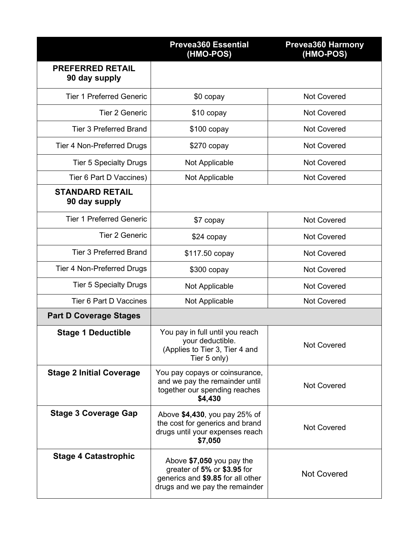|                                          | <b>Prevea360 Essential</b><br>(HMO-POS)                                                                                         | <b>Prevea360 Harmony</b><br>(HMO-POS) |
|------------------------------------------|---------------------------------------------------------------------------------------------------------------------------------|---------------------------------------|
| <b>PREFERRED RETAIL</b><br>90 day supply |                                                                                                                                 |                                       |
| <b>Tier 1 Preferred Generic</b>          | \$0 copay                                                                                                                       | <b>Not Covered</b>                    |
| <b>Tier 2 Generic</b>                    | \$10 copay                                                                                                                      | <b>Not Covered</b>                    |
| <b>Tier 3 Preferred Brand</b>            | $$100$ copay                                                                                                                    | <b>Not Covered</b>                    |
| Tier 4 Non-Preferred Drugs               | $$270$ copay                                                                                                                    | <b>Not Covered</b>                    |
| <b>Tier 5 Specialty Drugs</b>            | Not Applicable                                                                                                                  | <b>Not Covered</b>                    |
| Tier 6 Part D Vaccines)                  | Not Applicable                                                                                                                  | <b>Not Covered</b>                    |
| <b>STANDARD RETAIL</b><br>90 day supply  |                                                                                                                                 |                                       |
| <b>Tier 1 Preferred Generic</b>          | \$7 copay                                                                                                                       | <b>Not Covered</b>                    |
| <b>Tier 2 Generic</b>                    | \$24 copay                                                                                                                      | <b>Not Covered</b>                    |
| <b>Tier 3 Preferred Brand</b>            | \$117.50 copay                                                                                                                  | <b>Not Covered</b>                    |
| Tier 4 Non-Preferred Drugs               | $$300$ copay                                                                                                                    | <b>Not Covered</b>                    |
| <b>Tier 5 Specialty Drugs</b>            | Not Applicable                                                                                                                  | <b>Not Covered</b>                    |
| Tier 6 Part D Vaccines                   | Not Applicable                                                                                                                  | <b>Not Covered</b>                    |
| <b>Part D Coverage Stages</b>            |                                                                                                                                 |                                       |
| <b>Stage 1 Deductible</b>                | You pay in full until you reach<br>your deductible<br>(Applies to Tier 3, Tier 4 and<br>Tier 5 only)                            | <b>Not Covered</b>                    |
| <b>Stage 2 Initial Coverage</b>          | You pay copays or coinsurance,<br>and we pay the remainder until<br>together our spending reaches<br>\$4,430                    | <b>Not Covered</b>                    |
| <b>Stage 3 Coverage Gap</b>              | Above \$4,430, you pay 25% of<br>the cost for generics and brand<br>drugs until your expenses reach<br>\$7,050                  | <b>Not Covered</b>                    |
| <b>Stage 4 Catastrophic</b>              | Above \$7,050 you pay the<br>greater of 5% or \$3.95 for<br>generics and \$9.85 for all other<br>drugs and we pay the remainder | <b>Not Covered</b>                    |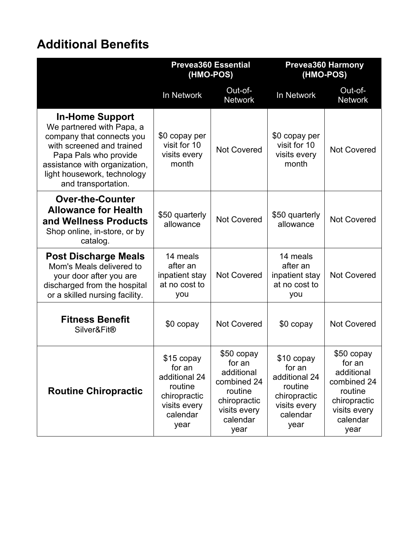### **Additional Benefits**

|                                                                                                                                                                                                                               | <b>Prevea360 Essential</b><br>(HMO-POS)                                                              |                                                                                                                  | (HMO-POS)                                                                                            | <b>Prevea360 Harmony</b>                                                                                         |
|-------------------------------------------------------------------------------------------------------------------------------------------------------------------------------------------------------------------------------|------------------------------------------------------------------------------------------------------|------------------------------------------------------------------------------------------------------------------|------------------------------------------------------------------------------------------------------|------------------------------------------------------------------------------------------------------------------|
|                                                                                                                                                                                                                               | In Network                                                                                           | Out-of-<br><b>Network</b>                                                                                        | In Network                                                                                           | Out-of-<br><b>Network</b>                                                                                        |
| <b>In-Home Support</b><br>We partnered with Papa, a<br>company that connects you<br>with screened and trained<br>Papa Pals who provide<br>assistance with organization,<br>light housework, technology<br>and transportation. | \$0 copay per<br>visit for 10<br>visits every<br>month                                               | <b>Not Covered</b>                                                                                               | \$0 copay per<br>visit for 10<br>visits every<br>month                                               | <b>Not Covered</b>                                                                                               |
| <b>Over-the-Counter</b><br><b>Allowance for Health</b><br>and Wellness Products<br>Shop online, in-store, or by<br>catalog.                                                                                                   | \$50 quarterly<br>allowance                                                                          | <b>Not Covered</b>                                                                                               | \$50 quarterly<br>allowance                                                                          | <b>Not Covered</b>                                                                                               |
| <b>Post Discharge Meals</b><br>Mom's Meals delivered to<br>your door after you are<br>discharged from the hospital<br>or a skilled nursing facility.                                                                          | 14 meals<br>after an<br>inpatient stay<br>at no cost to<br>you                                       | <b>Not Covered</b>                                                                                               | 14 meals<br>after an<br>inpatient stay<br>at no cost to<br>you                                       | <b>Not Covered</b>                                                                                               |
| <b>Fitness Benefit</b><br>Silver&Fit®                                                                                                                                                                                         | \$0 copay                                                                                            | <b>Not Covered</b>                                                                                               | $$0$ copay                                                                                           | <b>Not Covered</b>                                                                                               |
| <b>Routine Chiropractic</b>                                                                                                                                                                                                   | \$15 copay<br>for an<br>additional 24<br>routine<br>chiropractic<br>visits every<br>calendar<br>year | \$50 copay<br>for an<br>additional<br>combined 24<br>routine<br>chiropractic<br>visits every<br>calendar<br>year | \$10 copay<br>for an<br>additional 24<br>routine<br>chiropractic<br>visits every<br>calendar<br>year | \$50 copay<br>for an<br>additional<br>combined 24<br>routine<br>chiropractic<br>visits every<br>calendar<br>year |